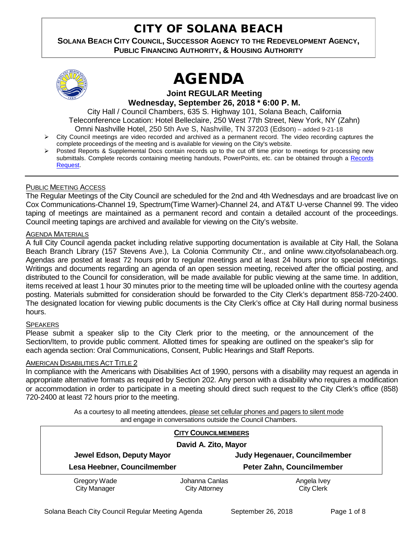## CITY OF SOLANA BEACH

## **SOLANA BEACH CITY COUNCIL, SUCCESSOR AGENCY TO THE REDEVELOPMENT AGENCY, PUBLIC FINANCING AUTHORITY, & HOUSING AUTHORITY**



# AGENDA

**Joint REGULAR Meeting Wednesday, September 26, 2018 \* 6:00 P. M.**

City Hall / Council Chambers, 635 S. Highway 101, Solana Beach, California Teleconference Location: Hotel Belleclaire, 250 West 77th Street, New York, NY (Zahn) Omni Nashville Hotel, 250 5th Ave S, Nashville, TN 37203 (Edson) – added 9-21-18

- $\triangleright$  City Council meetings are video recorded and archived as a permanent record. The video recording captures the complete proceedings of the meeting and is available for viewing on the City's website.
- Posted Reports & Supplemental Docs contain records up to the cut off time prior to meetings for processing new submittals. Complete records containing meeting handouts, PowerPoints, etc. can be obtained through a Records [Request.](http://www.ci.solana-beach.ca.us/index.asp?SEC=F5D45D10-70CE-4291-A27C-7BD633FC6742&Type=B_BASIC)

#### PUBLIC MEETING ACCESS

The Regular Meetings of the City Council are scheduled for the 2nd and 4th Wednesdays and are broadcast live on Cox Communications-Channel 19, Spectrum(Time Warner)-Channel 24, and AT&T U-verse Channel 99. The video taping of meetings are maintained as a permanent record and contain a detailed account of the proceedings. Council meeting tapings are archived and available for viewing on the City's website.

## **AGENDA MATERIALS**

A full City Council agenda packet including relative supporting documentation is available at City Hall, the Solana Beach Branch Library (157 Stevens Ave.), La Colonia Community Ctr., and online www.cityofsolanabeach.org. Agendas are posted at least 72 hours prior to regular meetings and at least 24 hours prior to special meetings. Writings and documents regarding an agenda of an open session meeting, received after the official posting, and distributed to the Council for consideration, will be made available for public viewing at the same time. In addition, items received at least 1 hour 30 minutes prior to the meeting time will be uploaded online with the courtesy agenda posting. Materials submitted for consideration should be forwarded to the City Clerk's department 858-720-2400. The designated location for viewing public documents is the City Clerk's office at City Hall during normal business hours.

#### **SPEAKERS**

Please submit a speaker slip to the City Clerk prior to the meeting, or the announcement of the Section/Item, to provide public comment. Allotted times for speaking are outlined on the speaker's slip for each agenda section: Oral Communications, Consent, Public Hearings and Staff Reports.

#### **AMERICAN DISABILITIES ACT TITLE 2**

In compliance with the Americans with Disabilities Act of 1990, persons with a disability may request an agenda in appropriate alternative formats as required by Section 202. Any person with a disability who requires a modification or accommodation in order to participate in a meeting should direct such request to the City Clerk's office (858) 720-2400 at least 72 hours prior to the meeting.

> As a courtesy to all meeting attendees, please set cellular phones and pagers to silent mode and engage in conversations outside the Council Chambers.

| <b>CITY COUNCILMEMBERS</b>          |                                        |                                  |
|-------------------------------------|----------------------------------------|----------------------------------|
| David A. Zito, Mayor                |                                        |                                  |
| Jewel Edson, Deputy Mayor           |                                        | Judy Hegenauer, Councilmember    |
| Lesa Heebner, Councilmember         |                                        | Peter Zahn, Councilmember        |
| Gregory Wade<br><b>City Manager</b> | Johanna Canlas<br><b>City Attorney</b> | Angela Ivey<br><b>City Clerk</b> |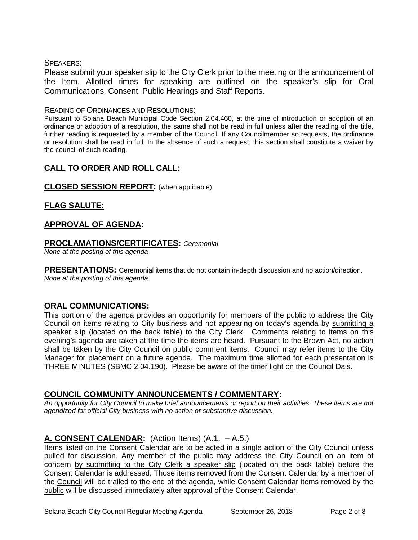## SPEAKERS:

Please submit your speaker slip to the City Clerk prior to the meeting or the announcement of the Item. Allotted times for speaking are outlined on the speaker's slip for Oral Communications, Consent, Public Hearings and Staff Reports.

## READING OF ORDINANCES AND RESOLUTIONS:

Pursuant to Solana Beach Municipal Code Section 2.04.460, at the time of introduction or adoption of an ordinance or adoption of a resolution, the same shall not be read in full unless after the reading of the title, further reading is requested by a member of the Council. If any Councilmember so requests, the ordinance or resolution shall be read in full. In the absence of such a request, this section shall constitute a waiver by the council of such reading.

## **CALL TO ORDER AND ROLL CALL:**

## **CLOSED SESSION REPORT:** (when applicable)

## **FLAG SALUTE:**

## **APPROVAL OF AGENDA:**

## **PROCLAMATIONS/CERTIFICATES:** *Ceremonial*

*None at the posting of this agenda*

**PRESENTATIONS:** Ceremonial items that do not contain in-depth discussion and no action/direction. *None at the posting of this agenda*

## **ORAL COMMUNICATIONS:**

This portion of the agenda provides an opportunity for members of the public to address the City Council on items relating to City business and not appearing on today's agenda by submitting a speaker slip (located on the back table) to the City Clerk. Comments relating to items on this evening's agenda are taken at the time the items are heard. Pursuant to the Brown Act, no action shall be taken by the City Council on public comment items. Council may refer items to the City Manager for placement on a future agenda. The maximum time allotted for each presentation is THREE MINUTES (SBMC 2.04.190). Please be aware of the timer light on the Council Dais.

## **COUNCIL COMMUNITY ANNOUNCEMENTS / COMMENTARY:**

*An opportunity for City Council to make brief announcements or report on their activities. These items are not agendized for official City business with no action or substantive discussion.* 

## **A. CONSENT CALENDAR:** (Action Items) (A.1. – A.5.)

Items listed on the Consent Calendar are to be acted in a single action of the City Council unless pulled for discussion. Any member of the public may address the City Council on an item of concern by submitting to the City Clerk a speaker slip (located on the back table) before the Consent Calendar is addressed. Those items removed from the Consent Calendar by a member of the Council will be trailed to the end of the agenda, while Consent Calendar items removed by the public will be discussed immediately after approval of the Consent Calendar.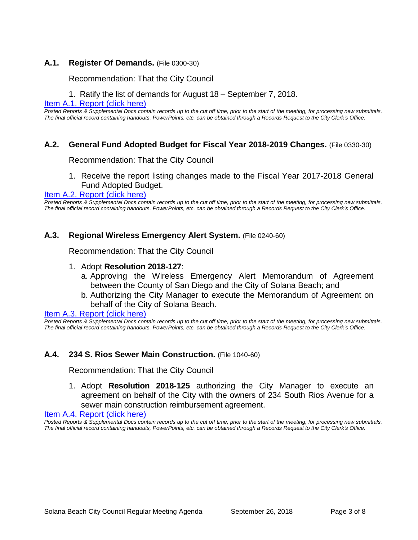## **A.1. Register Of Demands.** (File 0300-30)

Recommendation: That the City Council

1. Ratify the list of demands for August 18 – September 7, 2018.

#### [Item A.1. Report \(click here\)](https://solanabeach.govoffice3.com/vertical/Sites/%7B840804C2-F869-4904-9AE3-720581350CE7%7D/uploads/Item_A.1._Report_(click_here)_-_09-26-18.PDF)

*Posted Reports & Supplemental Docs contain records up to the cut off time, prior to the start of the meeting, for processing new submittals. The final official record containing handouts, PowerPoints, etc. can be obtained through a Records Request to the City Clerk's Office.*

## **A.2. General Fund Adopted Budget for Fiscal Year 2018-2019 Changes.** (File 0330-30)

#### Recommendation: That the City Council

1. Receive the report listing changes made to the Fiscal Year 2017-2018 General Fund Adopted Budget.

## Item A.2. Report (click here)

*Posted Reports & Supplemental Docs contain records up to the cut off time, prior to the start of the meeting, for processing new submittals. The final official record containing handouts, PowerPoints, etc. can be obtained through a Records Request to the City Clerk's Office.*

#### **A.3. Regional Wireless Emergency Alert System.** (File 0240-60)

Recommendation: That the City Council

- 1. Adopt **Resolution 2018-127**:
	- a. Approving the Wireless Emergency Alert Memorandum of Agreement between the County of San Diego and the City of Solana Beach; and
	- b. Authorizing the City Manager to execute the Memorandum of Agreement on behalf of the City of Solana Beach.

#### Item A.3. Report (click here)

Posted Reports & Supplemental Docs contain records up to the cut off time, prior to the start of the meeting, for processing new submittals. *The final official record containing handouts, PowerPoints, etc. can be obtained through a Records Request to the City Clerk's Office.*

## **A.4. 234 S. Rios Sewer Main Construction.** (File 1040-60)

Recommendation: That the City Council

1. Adopt **Resolution 2018-125** authorizing the City Manager to execute an agreement on behalf of the City with the owners of 234 South Rios Avenue for a sewer main construction reimbursement agreement.

#### [Item A.4. Report \(click here\)](https://solanabeach.govoffice3.com/vertical/Sites/%7B840804C2-F869-4904-9AE3-720581350CE7%7D/uploads/Item_A.4._Report_(click_here)_-_09-26-18.PDF)

*Posted Reports & Supplemental Docs contain records up to the cut off time, prior to the start of the meeting, for processing new submittals. The final official record containing handouts, PowerPoints, etc. can be obtained through a Records Request to the City Clerk's Office.*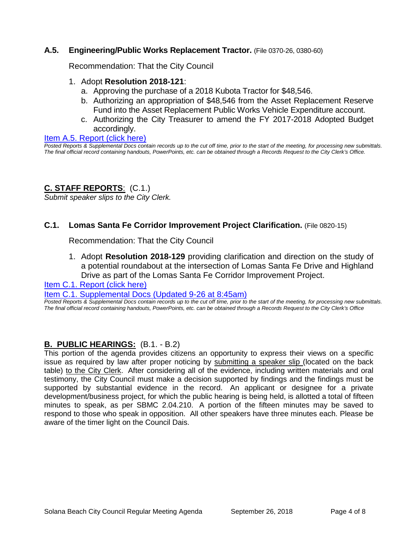## **A.5. Engineering/Public Works Replacement Tractor.** (File 0370-26, 0380-60)

Recommendation: That the City Council

- 1. Adopt **Resolution 2018-121**:
	- a. Approving the purchase of a 2018 Kubota Tractor for \$48,546.
	- b. Authorizing an appropriation of \$48,546 from the Asset Replacement Reserve Fund into the Asset Replacement Public Works Vehicle Expenditure account.
	- c. Authorizing the City Treasurer to amend the FY 2017-2018 Adopted Budget accordingly.

#### [Item A.5. Report \(click here\)](https://solanabeach.govoffice3.com/vertical/Sites/%7B840804C2-F869-4904-9AE3-720581350CE7%7D/uploads/Item_A.5._Report_(click_here)_-_09-26-18.PDF)

*Posted Reports & Supplemental Docs contain records up to the cut off time, prior to the start of the meeting, for processing new submittals. The final official record containing handouts, PowerPoints, etc. can be obtained through a Records Request to the City Clerk's Office.*

## **C. STAFF REPORTS**: (C.1.)

*Submit speaker slips to the City Clerk.*

## **C.1. Lomas Santa Fe Corridor Improvement Project Clarification.** (File 0820-15)

Recommendation: That the City Council

1. Adopt **Resolution 2018-129** providing clarification and direction on the study of a potential roundabout at the intersection of Lomas Santa Fe Drive and Highland Drive as part of the Lomas Santa Fe Corridor Improvement Project.

[Item C.1. Report \(click here\)](https://solanabeach.govoffice3.com/vertical/Sites/%7B840804C2-F869-4904-9AE3-720581350CE7%7D/uploads/Item_C.1._Report_(click_here)_-_09-26-18.PDF) 

#### [Item C.1. Supplemental Docs \(Updated 9-26](https://solanabeach.govoffice3.com/vertical/Sites/%7B840804C2-F869-4904-9AE3-720581350CE7%7D/uploads/C.1._Supplemental_Docs_(updated_9-26_at_145pm).pdf) at 8:45am)

*Posted Reports & Supplemental Docs contain records up to the cut off time, prior to the start of the meeting, for processing new submittals. The final official record containing handouts, PowerPoints, etc. can be obtained through a Records Request to the City Clerk's Office*

## **B. PUBLIC HEARINGS:** (B.1. - B.2)

This portion of the agenda provides citizens an opportunity to express their views on a specific issue as required by law after proper noticing by submitting a speaker slip (located on the back table) to the City Clerk. After considering all of the evidence, including written materials and oral testimony, the City Council must make a decision supported by findings and the findings must be supported by substantial evidence in the record. An applicant or designee for a private development/business project, for which the public hearing is being held, is allotted a total of fifteen minutes to speak, as per SBMC 2.04.210. A portion of the fifteen minutes may be saved to respond to those who speak in opposition. All other speakers have three minutes each. Please be aware of the timer light on the Council Dais.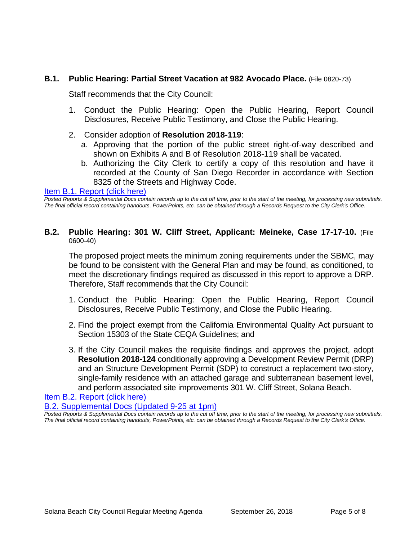## **B.1. Public Hearing: Partial Street Vacation at 982 Avocado Place.** (File 0820-73)

Staff recommends that the City Council:

- 1. Conduct the Public Hearing: Open the Public Hearing, Report Council Disclosures, Receive Public Testimony, and Close the Public Hearing.
- 2. Consider adoption of **Resolution 2018-119**:
	- a. Approving that the portion of the public street right-of-way described and shown on Exhibits A and B of Resolution 2018-119 shall be vacated.
	- b. Authorizing the City Clerk to certify a copy of this resolution and have it recorded at the County of San Diego Recorder in accordance with Section 8325 of the Streets and Highway Code.

[Item B.1. Report \(click here\)](https://solanabeach.govoffice3.com/vertical/Sites/%7B840804C2-F869-4904-9AE3-720581350CE7%7D/uploads/Item_B.1._Report_(click_here)_-_09-26-18.PDF) 

*Posted Reports & Supplemental Docs contain records up to the cut off time, prior to the start of the meeting, for processing new submittals. The final official record containing handouts, PowerPoints, etc. can be obtained through a Records Request to the City Clerk's Office.*

## **B.2. Public Hearing: 301 W. Cliff Street, Applicant: Meineke, Case 17-17-10.** (File 0600-40)

The proposed project meets the minimum zoning requirements under the SBMC, may be found to be consistent with the General Plan and may be found, as conditioned, to meet the discretionary findings required as discussed in this report to approve a DRP. Therefore, Staff recommends that the City Council:

- 1. Conduct the Public Hearing: Open the Public Hearing, Report Council Disclosures, Receive Public Testimony, and Close the Public Hearing.
- 2. Find the project exempt from the California Environmental Quality Act pursuant to Section 15303 of the State CEQA Guidelines; and
- 3. If the City Council makes the requisite findings and approves the project, adopt **Resolution 2018-124** conditionally approving a Development Review Permit (DRP) and an Structure Development Permit (SDP) to construct a replacement two-story, single-family residence with an attached garage and subterranean basement level, and perform associated site improvements 301 W. Cliff Street, Solana Beach.

[Item B.2. Report \(click here\)](https://solanabeach.govoffice3.com/vertical/Sites/%7B840804C2-F869-4904-9AE3-720581350CE7%7D/uploads/Item_B.2._Report_(click_here)_-_09-26-18-R_(Reduced).pdf) 

[B.2. Supplemental Docs \(Updated 9-25 at 1pm\)](https://solanabeach.govoffice3.com/vertical/Sites/%7B840804C2-F869-4904-9AE3-720581350CE7%7D/uploads/B.2._Supplemental_Docs_(Updated_9-25_at_1245pm).pdf)

*Posted Reports & Supplemental Docs contain records up to the cut off time, prior to the start of the meeting, for processing new submittals. The final official record containing handouts, PowerPoints, etc. can be obtained through a Records Request to the City Clerk's Office.*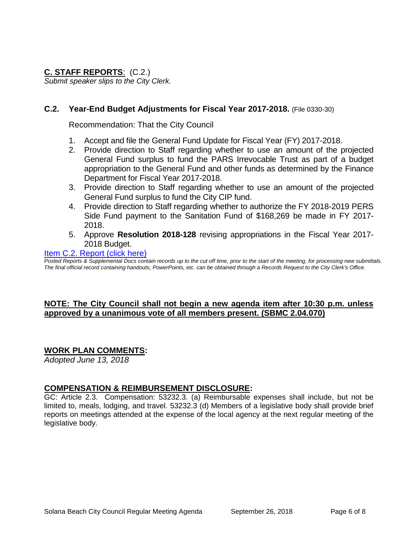## **C. STAFF REPORTS**: (C.2.)

*Submit speaker slips to the City Clerk.*

## **C.2. Year-End Budget Adjustments for Fiscal Year 2017-2018.** (File 0330-30)

Recommendation: That the City Council

- 1. Accept and file the General Fund Update for Fiscal Year (FY) 2017-2018.
- 2. Provide direction to Staff regarding whether to use an amount of the projected General Fund surplus to fund the PARS Irrevocable Trust as part of a budget appropriation to the General Fund and other funds as determined by the Finance Department for Fiscal Year 2017-2018.
- 3. Provide direction to Staff regarding whether to use an amount of the projected General Fund surplus to fund the City CIP fund.
- 4. Provide direction to Staff regarding whether to authorize the FY 2018-2019 PERS Side Fund payment to the Sanitation Fund of \$168,269 be made in FY 2017- 2018.
- 5. Approve **Resolution 2018-128** revising appropriations in the Fiscal Year 2017- 2018 Budget.

## [Item C.2. Report \(click here\)](https://solanabeach.govoffice3.com/vertical/Sites/%7B840804C2-F869-4904-9AE3-720581350CE7%7D/uploads/Item_C.2._Report_(click_here)_-_09-26-18.PDF)

*Posted Reports & Supplemental Docs contain records up to the cut off time, prior to the start of the meeting, for processing new submittals. The final official record containing handouts, PowerPoints, etc. can be obtained through a Records Request to the City Clerk's Office.*

## **NOTE: The City Council shall not begin a new agenda item after 10:30 p.m. unless approved by a unanimous vote of all members present. (SBMC 2.04.070)**

## **WORK PLAN COMMENTS:**

*Adopted June 13, 2018*

## **COMPENSATION & REIMBURSEMENT DISCLOSURE:**

GC: Article 2.3. Compensation: 53232.3. (a) Reimbursable expenses shall include, but not be limited to, meals, lodging, and travel. 53232.3 (d) Members of a legislative body shall provide brief reports on meetings attended at the expense of the local agency at the next regular meeting of the legislative body.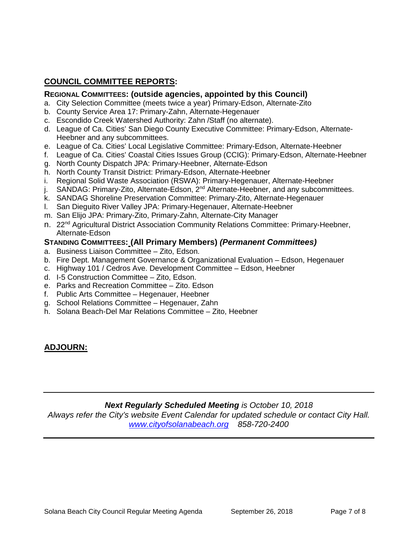## **COUNCIL COMMITTEE REPORTS:**

## **REGIONAL COMMITTEES: (outside agencies, appointed by this Council)**

- a. City Selection Committee (meets twice a year) Primary-Edson, Alternate-Zito
- b. County Service Area 17: Primary-Zahn, Alternate-Hegenauer
- c. Escondido Creek Watershed Authority: Zahn /Staff (no alternate).
- d. League of Ca. Cities' San Diego County Executive Committee: Primary-Edson, Alternate-Heebner and any subcommittees.
- e. League of Ca. Cities' Local Legislative Committee: Primary-Edson, Alternate-Heebner
- f. League of Ca. Cities' Coastal Cities Issues Group (CCIG): Primary-Edson, Alternate-Heebner
- g. North County Dispatch JPA: Primary-Heebner, Alternate-Edson
- h. North County Transit District: Primary-Edson, Alternate-Heebner
- i. Regional Solid Waste Association (RSWA): Primary-Hegenauer, Alternate-Heebner
- j. SANDAG: Primary-Zito, Alternate-Edson, 2<sup>nd</sup> Alternate-Heebner, and any subcommittees.
- k. SANDAG Shoreline Preservation Committee: Primary-Zito, Alternate-Hegenauer
- l. San Dieguito River Valley JPA: Primary-Hegenauer, Alternate-Heebner
- m. San Elijo JPA: Primary-Zito, Primary-Zahn, Alternate-City Manager
- n. 22<sup>nd</sup> Agricultural District Association Community Relations Committee: Primary-Heebner, Alternate-Edson

## **STANDING COMMITTEES: (All Primary Members)** *(Permanent Committees)*

- a. Business Liaison Committee Zito, Edson.
- b. Fire Dept. Management Governance & Organizational Evaluation Edson, Hegenauer
- c. Highway 101 / Cedros Ave. Development Committee Edson, Heebner
- d. I-5 Construction Committee Zito, Edson.
- e. Parks and Recreation Committee Zito. Edson
- f. Public Arts Committee Hegenauer, Heebner
- g. School Relations Committee Hegenauer, Zahn
- h. Solana Beach-Del Mar Relations Committee Zito, Heebner

## **ADJOURN:**

## *Next Regularly Scheduled Meeting is October 10, 2018*

*Always refer the City's website Event Calendar for updated schedule or contact City Hall. [www.cityofsolanabeach.org](http://www.cityofsolanabeach.org/) 858-720-2400*